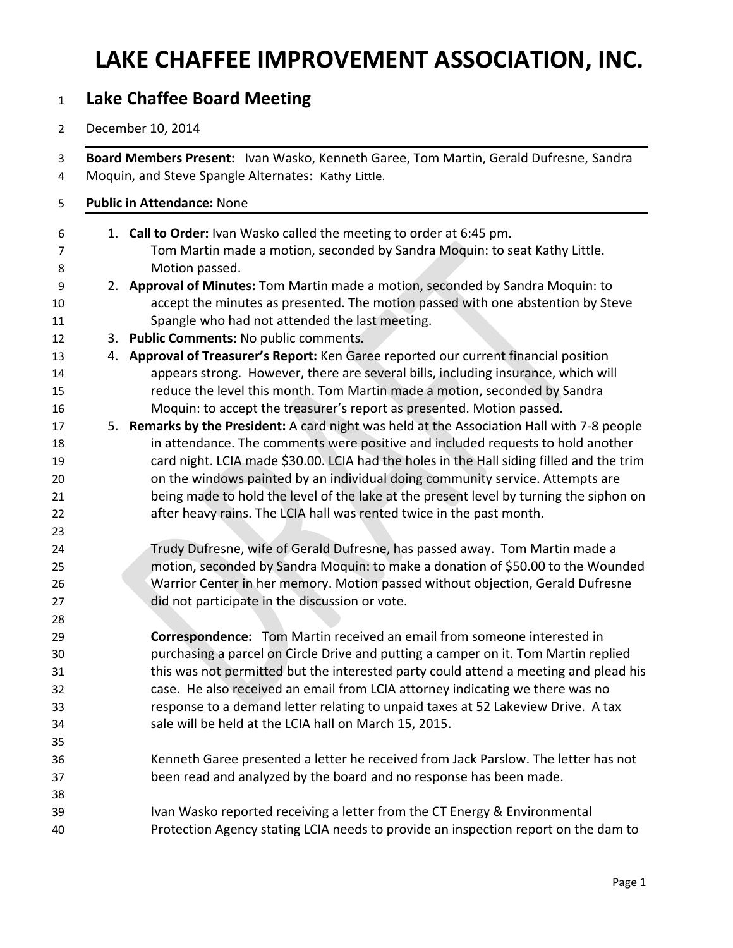## **LAKE CHAFFEE IMPROVEMENT ASSOCIATION, INC.**

## **Lake Chaffee Board Meeting**

December 10, 2014

|  | Board Members Present: Ivan Wasko, Kenneth Garee, Tom Martin, Gerald Dufresne, Sandra<br>Moquin, and Steve Spangle Alternates: Kathy Little.                                  |
|--|-------------------------------------------------------------------------------------------------------------------------------------------------------------------------------|
|  | <b>Public in Attendance: None</b>                                                                                                                                             |
|  | 1. Call to Order: Ivan Wasko called the meeting to order at 6:45 pm.                                                                                                          |
|  | Tom Martin made a motion, seconded by Sandra Moquin: to seat Kathy Little.                                                                                                    |
|  | Motion passed.                                                                                                                                                                |
|  | 2. Approval of Minutes: Tom Martin made a motion, seconded by Sandra Moquin: to                                                                                               |
|  | accept the minutes as presented. The motion passed with one abstention by Steve                                                                                               |
|  | Spangle who had not attended the last meeting.                                                                                                                                |
|  | 3. Public Comments: No public comments.                                                                                                                                       |
|  | 4. Approval of Treasurer's Report: Ken Garee reported our current financial position                                                                                          |
|  | appears strong. However, there are several bills, including insurance, which will                                                                                             |
|  | reduce the level this month. Tom Martin made a motion, seconded by Sandra                                                                                                     |
|  | Moquin: to accept the treasurer's report as presented. Motion passed.                                                                                                         |
|  | 5. Remarks by the President: A card night was held at the Association Hall with 7-8 people<br>in attendance. The comments were positive and included requests to hold another |
|  | card night. LCIA made \$30.00. LCIA had the holes in the Hall siding filled and the trim                                                                                      |
|  | on the windows painted by an individual doing community service. Attempts are                                                                                                 |
|  | being made to hold the level of the lake at the present level by turning the siphon on                                                                                        |
|  | after heavy rains. The LCIA hall was rented twice in the past month.                                                                                                          |
|  |                                                                                                                                                                               |
|  | Trudy Dufresne, wife of Gerald Dufresne, has passed away. Tom Martin made a                                                                                                   |
|  | motion, seconded by Sandra Moquin: to make a donation of \$50.00 to the Wounded                                                                                               |
|  | Warrior Center in her memory. Motion passed without objection, Gerald Dufresne                                                                                                |
|  | did not participate in the discussion or vote.                                                                                                                                |
|  |                                                                                                                                                                               |
|  | Correspondence: Tom Martin received an email from someone interested in                                                                                                       |
|  | purchasing a parcel on Circle Drive and putting a camper on it. Tom Martin replied                                                                                            |
|  | this was not permitted but the interested party could attend a meeting and plead his                                                                                          |
|  | case. He also received an email from LCIA attorney indicating we there was no                                                                                                 |
|  | response to a demand letter relating to unpaid taxes at 52 Lakeview Drive. A tax                                                                                              |
|  | sale will be held at the LCIA hall on March 15, 2015.                                                                                                                         |
|  |                                                                                                                                                                               |
|  | Kenneth Garee presented a letter he received from Jack Parslow. The letter has not                                                                                            |
|  | been read and analyzed by the board and no response has been made.                                                                                                            |
|  |                                                                                                                                                                               |
|  | Ivan Wasko reported receiving a letter from the CT Energy & Environmental                                                                                                     |
|  | Protection Agency stating LCIA needs to provide an inspection report on the dam to                                                                                            |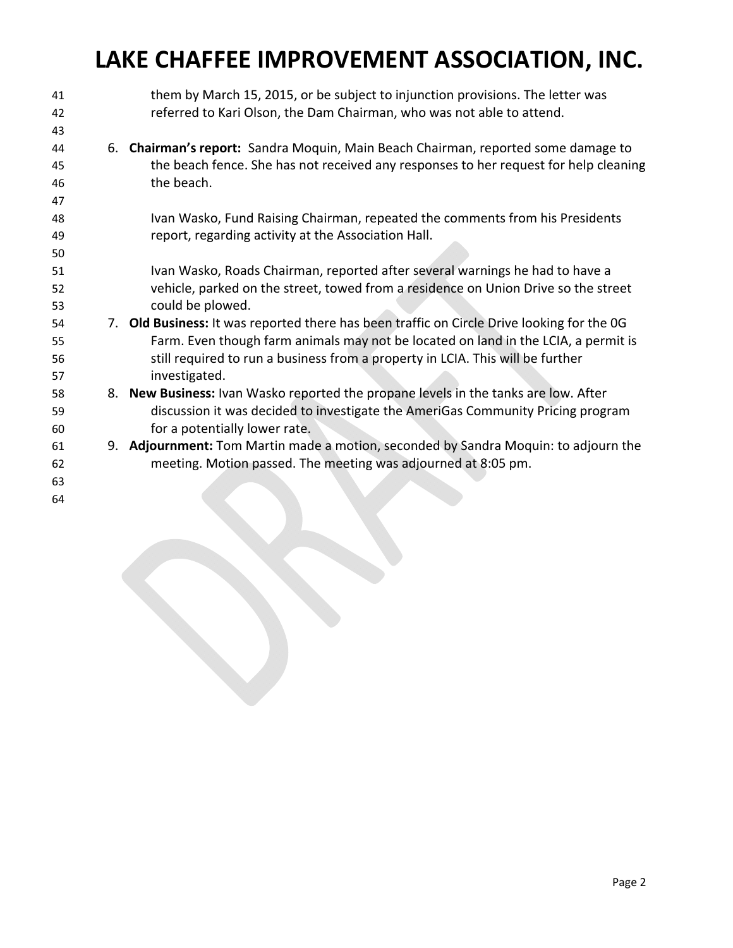## **LAKE CHAFFEE IMPROVEMENT ASSOCIATION, INC.**

| 41 | them by March 15, 2015, or be subject to injunction provisions. The letter was             |
|----|--------------------------------------------------------------------------------------------|
| 42 | referred to Kari Olson, the Dam Chairman, who was not able to attend.                      |
| 43 |                                                                                            |
| 44 | 6. Chairman's report: Sandra Moquin, Main Beach Chairman, reported some damage to          |
| 45 | the beach fence. She has not received any responses to her request for help cleaning       |
| 46 | the beach.                                                                                 |
| 47 |                                                                                            |
| 48 | Ivan Wasko, Fund Raising Chairman, repeated the comments from his Presidents               |
| 49 | report, regarding activity at the Association Hall.                                        |
| 50 |                                                                                            |
| 51 | Ivan Wasko, Roads Chairman, reported after several warnings he had to have a               |
| 52 | vehicle, parked on the street, towed from a residence on Union Drive so the street         |
| 53 | could be plowed.                                                                           |
| 54 | 7. Old Business: It was reported there has been traffic on Circle Drive looking for the OG |
| 55 | Farm. Even though farm animals may not be located on land in the LCIA, a permit is         |
| 56 | still required to run a business from a property in LCIA. This will be further             |
| 57 | investigated.                                                                              |
| 58 | 8. New Business: Ivan Wasko reported the propane levels in the tanks are low. After        |
| 59 | discussion it was decided to investigate the AmeriGas Community Pricing program            |
| 60 | for a potentially lower rate.                                                              |
| 61 | 9. Adjournment: Tom Martin made a motion, seconded by Sandra Moquin: to adjourn the        |
| 62 | meeting. Motion passed. The meeting was adjourned at 8:05 pm.                              |
| 63 |                                                                                            |
| 64 |                                                                                            |